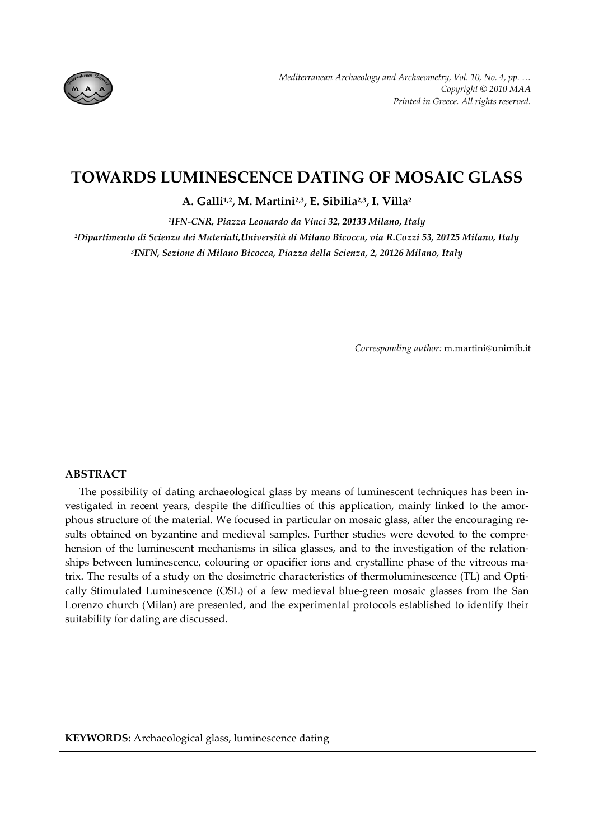

# **TOWARDS LUMINESCENCE DATING OF MOSAIC GLASS**

**Α. Galli1,2, Μ. Martini2,3, Ε. Sibilia2,3, Ι. Villa2**

*1IFN‐CNR, Piazza Leonardo da Vinci 32, 20133 Milano, Italy* 

*2Dipartimento di Scienza dei Materiali,Università di Milano Bicocca, via R.Cozzi 53, 20125 Milano, Italy 3INFN, Sezione di Milano Bicocca, Piazza della Scienza, 2, 20126 Milano, Italy*

*Corresponding author:* m.martini@unimib.it

# **ABSTRACT**

The possibility of dating archaeological glass by means of luminescent techniques has been in‐ vestigated in recent years, despite the difficulties of this application, mainly linked to the amor‐ phous structure of the material. We focused in particular on mosaic glass, after the encouraging results obtained on byzantine and medieval samples. Further studies were devoted to the comprehension of the luminescent mechanisms in silica glasses, and to the investigation of the relationships between luminescence, colouring or opacifier ions and crystalline phase of the vitreous matrix. The results of a study on the dosimetric characteristics of thermoluminescence (TL) and Opti‐ cally Stimulated Luminescence (OSL) of a few medieval blue‐green mosaic glasses from the San Lorenzo church (Milan) are presented, and the experimental protocols established to identify their suitability for dating are discussed.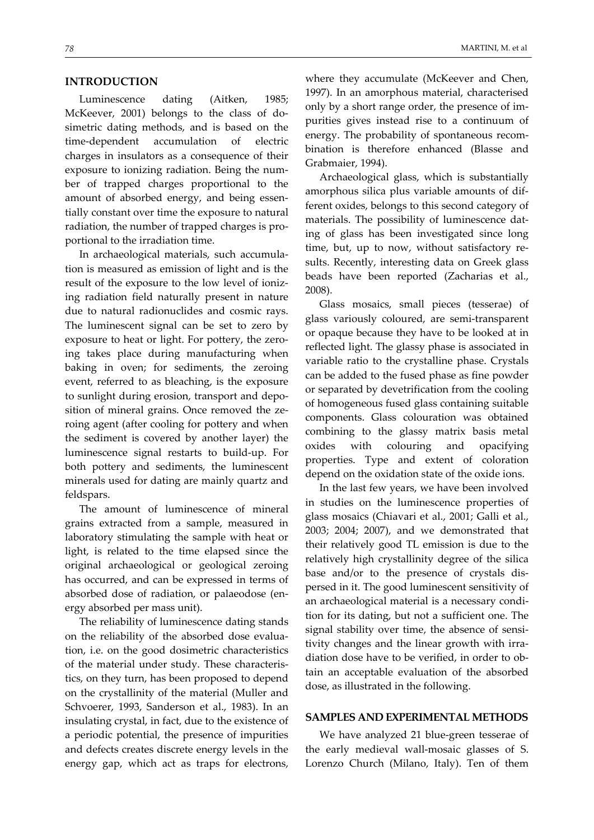### **INTRODUCTION**

Luminescence dating (Aitken, 1985; McKeever, 2001) belongs to the class of do‐ simetric dating methods, and is based on the time‐dependent accumulation of electric charges in insulators as a consequence of their exposure to ionizing radiation. Being the num‐ ber of trapped charges proportional to the amount of absorbed energy, and being essen‐ tially constant over time the exposure to natural radiation, the number of trapped charges is pro‐ portional to the irradiation time.

In archaeological materials, such accumula‐ tion is measured as emission of light and is the result of the exposure to the low level of ioniz‐ ing radiation field naturally present in nature due to natural radionuclides and cosmic rays. The luminescent signal can be set to zero by exposure to heat or light. For pottery, the zero‐ ing takes place during manufacturing when baking in oven; for sediments, the zeroing event, referred to as bleaching, is the exposure to sunlight during erosion, transport and depo‐ sition of mineral grains. Once removed the zeroing agent (after cooling for pottery and when the sediment is covered by another layer) the luminescence signal restarts to build‐up. For both pottery and sediments, the luminescent minerals used for dating are mainly quartz and feldspars.

The amount of luminescence of mineral grains extracted from a sample, measured in laboratory stimulating the sample with heat or light, is related to the time elapsed since the original archaeological or geological zeroing has occurred, and can be expressed in terms of absorbed dose of radiation, or palaeodose (en‐ ergy absorbed per mass unit).

The reliability of luminescence dating stands on the reliability of the absorbed dose evalua‐ tion, i.e. on the good dosimetric characteristics of the material under study. These characteris‐ tics, on they turn, has been proposed to depend on the crystallinity of the material (Muller and Schvoerer, 1993, Sanderson et al., 1983). In an insulating crystal, in fact, due to the existence of a periodic potential, the presence of impurities and defects creates discrete energy levels in the energy gap, which act as traps for electrons,

where they accumulate (McKeever and Chen, 1997). In an amorphous material, characterised only by a short range order, the presence of im‐ purities gives instead rise to a continuum of energy. The probability of spontaneous recom‐ bination is therefore enhanced (Blasse and Grabmaier, 1994).

Archaeological glass, which is substantially amorphous silica plus variable amounts of dif‐ ferent oxides, belongs to this second category of materials. The possibility of luminescence dat‐ ing of glass has been investigated since long time, but, up to now, without satisfactory re‐ sults. Recently, interesting data on Greek glass beads have been reported (Zacharias et al., 2008).

Glass mosaics, small pieces (tesserae) of glass variously coloured, are semi‐transparent or opaque because they have to be looked at in reflected light. The glassy phase is associated in variable ratio to the crystalline phase. Crystals can be added to the fused phase as fine powder or separated by devetrification from the cooling of homogeneous fused glass containing suitable components. Glass colouration was obtained combining to the glassy matrix basis metal oxides with colouring and opacifying properties. Type and extent of coloration depend on the oxidation state of the oxide ions.

In the last few years, we have been involved in studies on the luminescence properties of glass mosaics (Chiavari et al., 2001; Galli et al., 2003; 2004; 2007), and we demonstrated that their relatively good TL emission is due to the relatively high crystallinity degree of the silica base and/or to the presence of crystals dis‐ persed in it. The good luminescent sensitivity of an archaeological material is a necessary condi‐ tion for its dating, but not a sufficient one. The signal stability over time, the absence of sensitivity changes and the linear growth with irra‐ diation dose have to be verified, in order to ob‐ tain an acceptable evaluation of the absorbed dose, as illustrated in the following.

#### **SAMPLES AND EXPERIMENTAL METHODS**

We have analyzed 21 blue‐green tesserae of the early medieval wall‐mosaic glasses of S. Lorenzo Church (Milano, Italy). Ten of them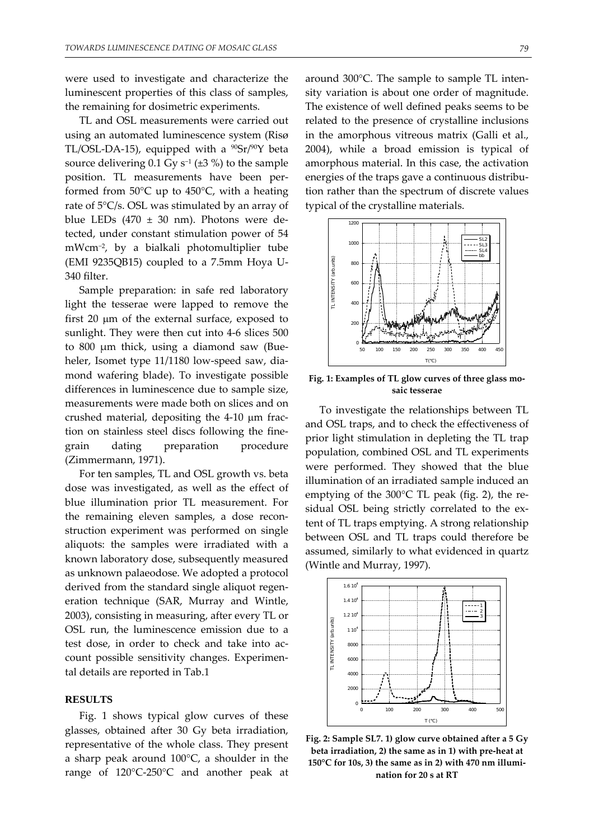were used to investigate and characterize the luminescent properties of this class of samples, the remaining for dosimetric experiments.

TL and OSL measurements were carried out using an automated luminescence system (Risø TL/OSL-DA-15), equipped with a  $^{90}Sr/^{90}Y$  beta source delivering 0.1 Gy s<sup>-1</sup> ( $\pm$ 3 %) to the sample position. TL measurements have been per‐ formed from 50°C up to 450°C, with a heating rate of 5°C/s. OSL was stimulated by an array of blue LEDs  $(470 \pm 30 \text{ nm})$ . Photons were detected, under constant stimulation power of 54 mWcm<sup>−</sup>2, by a bialkali photomultiplier tube (EMI 9235QB15) coupled to a 7.5mm Hoya U‐ 340 filter.

Sample preparation: in safe red laboratory light the tesserae were lapped to remove the first 20 μm of the external surface, exposed to sunlight. They were then cut into 4-6 slices 500 to 800 μm thick, using a diamond saw (Bue‐ heler, Isomet type 11/1180 low-speed saw, diamond wafering blade). To investigate possible differences in luminescence due to sample size, measurements were made both on slices and on crushed material, depositing the 4‐10 μm frac‐ tion on stainless steel discs following the fine‐ grain dating preparation procedure (Zimmermann, 1971).

For ten samples, TL and OSL growth vs. beta dose was investigated, as well as the effect of blue illumination prior TL measurement. For the remaining eleven samples, a dose recon‐ struction experiment was performed on single aliquots: the samples were irradiated with a known laboratory dose, subsequently measured as unknown palaeodose. We adopted a protocol derived from the standard single aliquot regeneration technique (SAR, Murray and Wintle, 2003), consisting in measuring, after every TL or OSL run, the luminescence emission due to a test dose, in order to check and take into account possible sensitivity changes. Experimen‐ tal details are reported in Tab.1

#### **RESULTS**

Fig. 1 shows typical glow curves of these glasses, obtained after 30 Gy beta irradiation, representative of the whole class. They present a sharp peak around 100°C, a shoulder in the range of 120°C‐250°C and another peak at

around 300°C. The sample to sample TL inten‐ sity variation is about one order of magnitude. The existence of well defined peaks seems to be related to the presence of crystalline inclusions in the amorphous vitreous matrix (Galli et al., 2004), while a broad emission is typical of amorphous material. In this case, the activation energies of the traps gave a continuous distribu‐ tion rather than the spectrum of discrete values typical of the crystalline materials.



**Fig. 1: Examples of TL glow curves of three glass mo‐ saic tesserae**

To investigate the relationships between TL and OSL traps, and to check the effectiveness of prior light stimulation in depleting the TL trap population, combined OSL and TL experiments were performed. They showed that the blue illumination of an irradiated sample induced an emptying of the 300°C TL peak (fig. 2), the re‐ sidual OSL being strictly correlated to the ex‐ tent of TL traps emptying. A strong relationship between OSL and TL traps could therefore be assumed, similarly to what evidenced in quartz (Wintle and Murray, 1997).



**Fig. 2: Sample SL7. 1) glow curve obtained after a 5 Gy beta irradiation, 2) the same as in 1) with pre‐heat at 150°C for 10s, 3) the same as in 2) with 470 nm illumi‐ nation for 20 s at RT**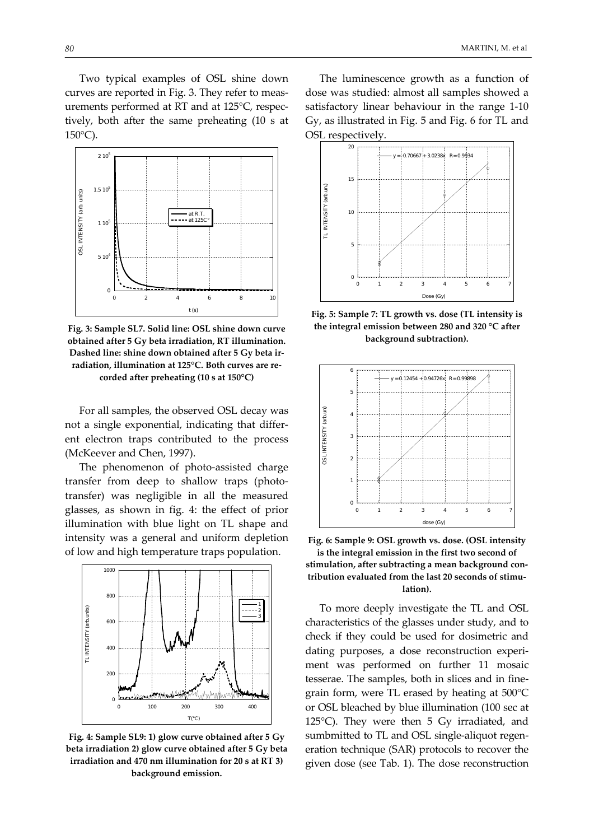Two typical examples of OSL shine down curves are reported in Fig. 3. They refer to meas‐ urements performed at RT and at 125°C, respec‐ tively, both after the same preheating (10 s at  $150^{\circ}$ C).



**Fig. 3: Sample SL7. Solid line: OSL shine down curve obtained after 5 Gy beta irradiation, RT illumination. Dashed line: shine down obtained after 5 Gy beta ir‐ radiation, illumination at 125°C. Both curves are re‐ corded after preheating (10 s at 150°C)**

For all samples, the observed OSL decay was not a single exponential, indicating that differ‐ ent electron traps contributed to the process (McKeever and Chen, 1997).

The phenomenon of photo‐assisted charge transfer from deep to shallow traps (photo‐ transfer) was negligible in all the measured glasses, as shown in fig. 4: the effect of prior illumination with blue light on TL shape and intensity was a general and uniform depletion of low and high temperature traps population.



**Fig. 4: Sample SL9: 1) glow curve obtained after 5 Gy beta irradiation 2) glow curve obtained after 5 Gy beta irradiation and 470 nm illumination for 20 s at RT 3) background emission.**

The luminescence growth as a function of dose was studied: almost all samples showed a satisfactory linear behaviour in the range 1‐10 Gy, as illustrated in Fig. 5 and Fig. 6 for TL and OSL respectively.



**Fig. 5: Sample 7: TL growth vs. dose (TL intensity is the integral emission between 280 and 320 °C after background subtraction).**



**Fig. 6: Sample 9: OSL growth vs. dose. (OSL intensity is the integral emission in the first two second of stimulation, after subtracting a mean background con‐ tribution evaluated from the last 20 seconds of stimu‐ lation).**

To more deeply investigate the TL and OSL characteristics of the glasses under study, and to check if they could be used for dosimetric and dating purposes, a dose reconstruction experi‐ ment was performed on further 11 mosaic tesserae. The samples, both in slices and in fine‐ grain form, were TL erased by heating at 500°C or OSL bleached by blue illumination (100 sec at 125°C). They were then 5 Gy irradiated, and sumbmitted to TL and OSL single-aliquot regeneration technique (SAR) protocols to recover the given dose (see Tab. 1). The dose reconstruction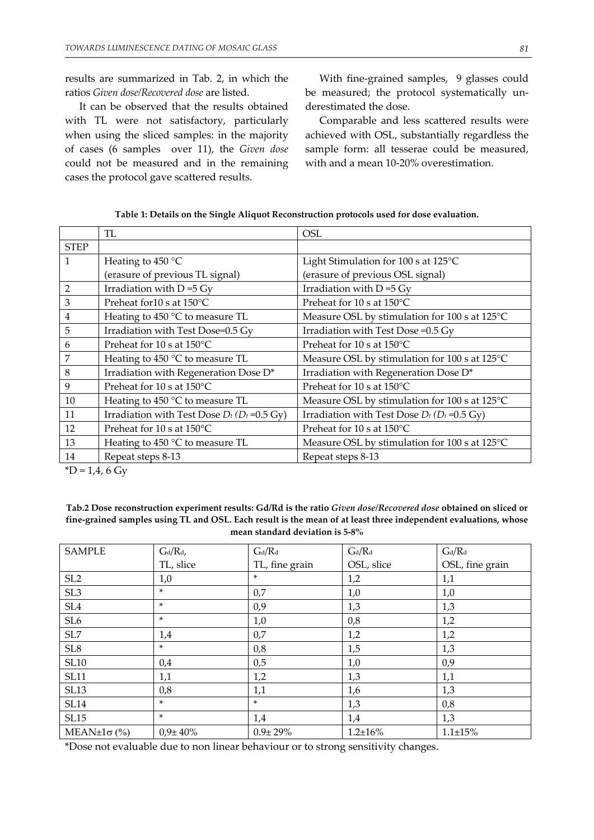results are summarized in Tab. 2, in which the ratios *Given dose/Recovered dose* are listed.

It can be observed that the results obtained with TL were not satisfactory, particularly when using the sliced samples: in the majority of cases (6 samples over 11), the *Given dose* could not be measured and in the remaining cases the protocol gave scattered results.

With fine-grained samples, 9 glasses could be measured; the protocol systematically underestimated the dose.

Comparable and less scattered results were achieved with OSL, substantially regardless the sample form: all tesserae could be measured, with and a mean 10‐20% overestimation.

|                | TL                                                | <b>OSL</b>                                        |  |
|----------------|---------------------------------------------------|---------------------------------------------------|--|
| <b>STEP</b>    |                                                   |                                                   |  |
| $\mathbf{1}$   | Heating to $450^{\circ}$ C                        | Light Stimulation for 100 s at 125°C              |  |
|                | (erasure of previous TL signal)                   | (erasure of previous OSL signal)                  |  |
| $\overline{2}$ | Irradiation with $D = 5$ Gy                       | Irradiation with $D = 5$ Gy                       |  |
| $\mathfrak{Z}$ | Preheat for 10 s at 150°C                         | Preheat for 10 s at 150°C                         |  |
| $\bf 4$        | Heating to 450 °C to measure TL                   | Measure OSL by stimulation for 100 s at 125°C     |  |
| 5              | Irradiation with Test Dose=0.5 Gy                 | Irradiation with Test Dose = 0.5 Gy               |  |
| 6              | Preheat for 10 s at 150°C                         | Preheat for 10 s at 150°C                         |  |
| 7              | Heating to 450 °C to measure TL                   | Measure OSL by stimulation for 100 s at 125°C     |  |
| 8              | Irradiation with Regeneration Dose D*             | Irradiation with Regeneration Dose D*             |  |
| 9              | Preheat for 10 s at 150°C                         | Preheat for 10 s at 150°C                         |  |
| 10             | Heating to 450 °C to measure TL                   | Measure OSL by stimulation for 100 s at 125°C     |  |
| 11             | Irradiation with Test Dose $D_t$ ( $D_t$ =0.5 Gy) | Irradiation with Test Dose $D_t$ ( $D_t$ =0.5 Gy) |  |
| 12             | Preheat for 10 s at 150°C                         | Preheat for 10 s at 150°C                         |  |
| 13             | Heating to 450 °C to measure TL                   | Measure OSL by stimulation for 100 s at 125°C     |  |
| 14             | Repeat steps 8-13                                 | Repeat steps 8-13                                 |  |

| Table 1: Details on the Single Aliquot Reconstruction protocols used for dose evaluation. |
|-------------------------------------------------------------------------------------------|
|-------------------------------------------------------------------------------------------|

 $^*D = 1,4,6$  Gy

**Tab.2 Dose reconstruction experiment results: Gd/Rd is the ratio** *Given dose/Recovered dose* **obtained on sliced or** fine-grained samples using TL and OSL. Each result is the mean of at least three independent evaluations, whose **mean standard deviation is 5‐8%**

| <b>SAMPLE</b>               | $G_d/R_d$ ,    | $G_d/R_d$      | $G_d/R_d$      | $G_d/R_d$       |
|-----------------------------|----------------|----------------|----------------|-----------------|
|                             | TL, slice      | TL, fine grain | OSL, slice     | OSL, fine grain |
| SL <sub>2</sub>             | 1,0            | $\ast$         | 1,2            | 1,1             |
| SL <sub>3</sub>             | *              | 0,7            | 1,0            | 1,0             |
| SL <sub>4</sub>             | *              | 0,9            | 1,3            | 1,3             |
| SL <sub>6</sub>             | *              | 1,0            | 0,8            | 1,2             |
| SL7                         | 1,4            | 0,7            | 1,2            | 1,2             |
| $\ensuremath{\mathsf{SL}}8$ | ×.             | 0,8            | 1,5            | 1,3             |
| <b>SL10</b>                 | 0,4            | 0,5            | 1,0            | 0,9             |
| <b>SL11</b>                 | 1,1            | 1,2            | 1,3            | 1,1             |
| <b>SL13</b>                 | 0,8            | 1,1            | 1,6            | 1,3             |
| <b>SL14</b>                 | ×              | ×.             | 1,3            | 0,8             |
| SL15                        | *              | 1,4            | 1,4            | 1,3             |
| $MEAN±1\sigma$ (%)          | $0.9 \pm 40\%$ | $0.9 + 29\%$   | $1.2 \pm 16\%$ | $1.1 \pm 15\%$  |

\*Dose not evaluable due to non linear behaviour or to strong sensitivity changes.